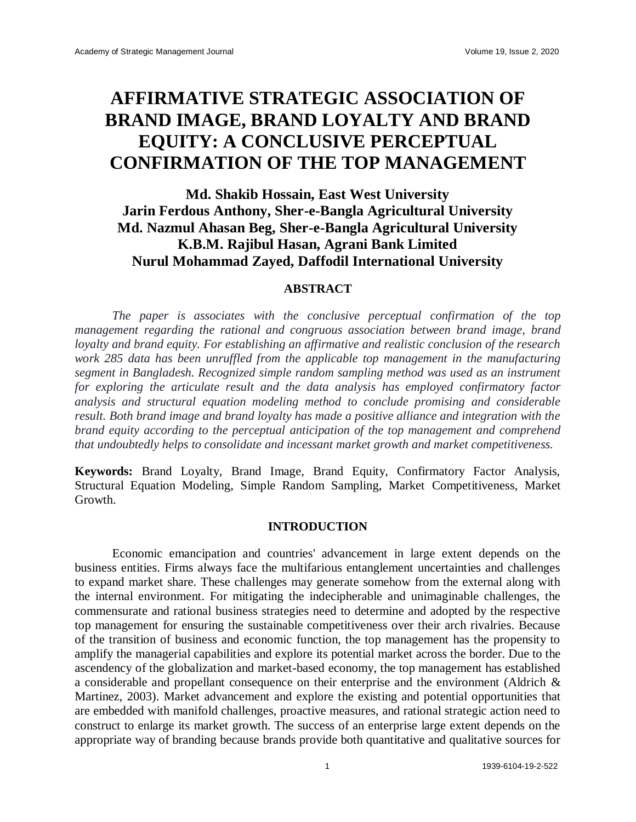# **AFFIRMATIVE STRATEGIC ASSOCIATION OF BRAND IMAGE, BRAND LOYALTY AND BRAND EQUITY: A CONCLUSIVE PERCEPTUAL CONFIRMATION OF THE TOP MANAGEMENT**

# **Md. Shakib Hossain, East West University Jarin Ferdous Anthony, Sher-e-Bangla Agricultural University Md. Nazmul Ahasan Beg, Sher-e-Bangla Agricultural University K.B.M. Rajibul Hasan, Agrani Bank Limited Nurul Mohammad Zayed, Daffodil International University**

#### **ABSTRACT**

The paper is associates with the conclusive perceptual confirmation of the top *management regarding the rational and congruous association between brand image, brand loyalty and brand equity. For establishing an affirmative and realistic conclusion of the research work 285 data has been unruffled from the applicable top management in the manufacturing segment in Bangladesh. Recognized simple random sampling method was used as an instrument for exploring the articulate result and the data analysis has employed confirmatory factor analysis and structural equation modeling method to conclude promising and considerable result. Both brand image and brand loyalty has made a positive alliance and integration with the brand equity according to the perceptual anticipation of the top management and comprehend that undoubtedly helps to consolidate and incessant market growth and market competitiveness.*

**Keywords:** Brand Loyalty, Brand Image, Brand Equity, Confirmatory Factor Analysis, Structural Equation Modeling, Simple Random Sampling, Market Competitiveness, Market Growth.

#### **INTRODUCTION**

Economic emancipation and countries' advancement in large extent depends on the business entities. Firms always face the multifarious entanglement uncertainties and challenges to expand market share. These challenges may generate somehow from the external along with the internal environment. For mitigating the indecipherable and unimaginable challenges, the commensurate and rational business strategies need to determine and adopted by the respective top management for ensuring the sustainable competitiveness over their arch rivalries. Because of the transition of business and economic function, the top management has the propensity to amplify the managerial capabilities and explore its potential market across the border. Due to the ascendency of the globalization and market-based economy, the top management has established a considerable and propellant consequence on their enterprise and the environment (Aldrich & Martinez, 2003). Market advancement and explore the existing and potential opportunities that are embedded with manifold challenges, proactive measures, and rational strategic action need to construct to enlarge its market growth. The success of an enterprise large extent depends on the appropriate way of branding because brands provide both quantitative and qualitative sources for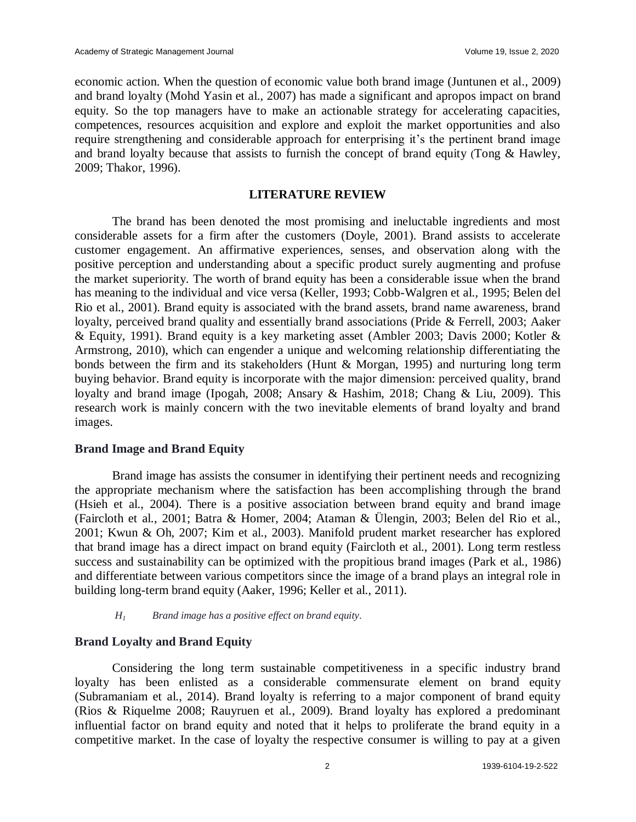economic action. When the question of economic value both brand image (Juntunen et al., 2009) and brand loyalty (Mohd Yasin et al., 2007) has made a significant and apropos impact on brand equity. So the top managers have to make an actionable strategy for accelerating capacities, competences, resources acquisition and explore and exploit the market opportunities and also require strengthening and considerable approach for enterprising it's the pertinent brand image and brand loyalty because that assists to furnish the concept of brand equity (Tong & Hawley, 2009; Thakor, 1996).

#### **LITERATURE REVIEW**

The brand has been denoted the most promising and ineluctable ingredients and most considerable assets for a firm after the customers (Doyle, 2001). Brand assists to accelerate customer engagement. An affirmative experiences, senses, and observation along with the positive perception and understanding about a specific product surely augmenting and profuse the market superiority. The worth of brand equity has been a considerable issue when the brand has meaning to the individual and vice versa (Keller, 1993; Cobb-Walgren et al., 1995; Belen del Rio et al., 2001). Brand equity is associated with the brand assets, brand name awareness, brand loyalty, perceived brand quality and essentially brand associations (Pride & Ferrell, 2003; Aaker & Equity, 1991). Brand equity is a key marketing asset (Ambler 2003; Davis 2000; Kotler & Armstrong, 2010), which can engender a unique and welcoming relationship differentiating the bonds between the firm and its stakeholders (Hunt & Morgan, 1995) and nurturing long term buying behavior. Brand equity is incorporate with the major dimension: perceived quality, brand loyalty and brand image (Ipogah, 2008; Ansary & Hashim, 2018; Chang & Liu, 2009). This research work is mainly concern with the two inevitable elements of brand loyalty and brand images.

#### **Brand Image and Brand Equity**

Brand image has assists the consumer in identifying their pertinent needs and recognizing the appropriate mechanism where the satisfaction has been accomplishing through the brand (Hsieh et al., 2004). There is a positive association between brand equity and brand image (Faircloth et al., 2001; Batra & Homer, 2004; Ataman & Ülengin, 2003; Belen del Rio et al., 2001; Kwun & Oh, 2007; Kim et al., 2003). Manifold prudent market researcher has explored that brand image has a direct impact on brand equity (Faircloth et al., 2001). Long term restless success and sustainability can be optimized with the propitious brand images (Park et al., 1986) and differentiate between various competitors since the image of a brand plays an integral role in building long-term brand equity (Aaker, 1996; Keller et al., 2011).

#### *H<sup>1</sup> Brand image has a positive effect on brand equity.*

#### **Brand Loyalty and Brand Equity**

Considering the long term sustainable competitiveness in a specific industry brand loyalty has been enlisted as a considerable commensurate element on brand equity (Subramaniam et al., 2014). Brand loyalty is referring to a major component of brand equity (Rios & Riquelme 2008; Rauyruen et al., 2009). Brand loyalty has explored a predominant influential factor on brand equity and noted that it helps to proliferate the brand equity in a competitive market. In the case of loyalty the respective consumer is willing to pay at a given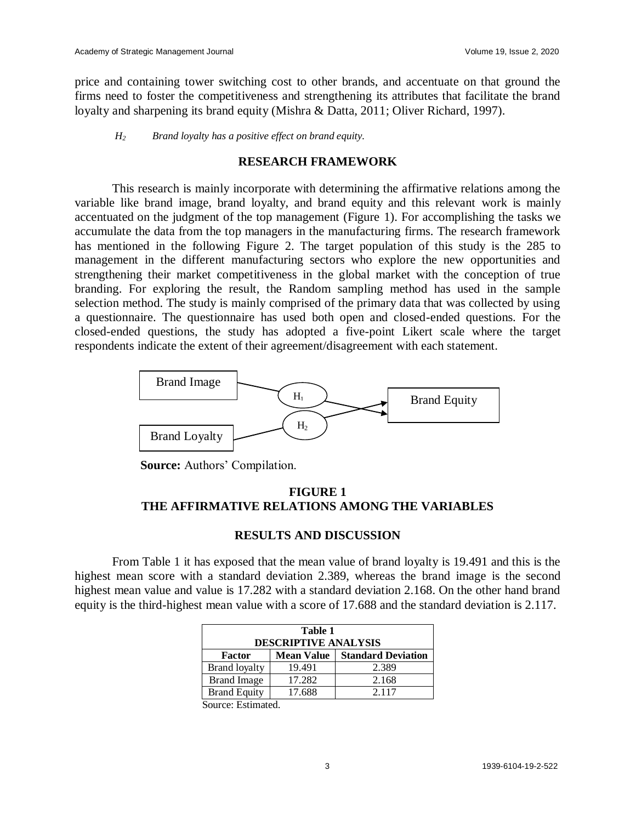price and containing tower switching cost to other brands, and accentuate on that ground the firms need to foster the competitiveness and strengthening its attributes that facilitate the brand loyalty and sharpening its brand equity (Mishra & Datta, 2011; Oliver Richard, 1997).

*H<sup>2</sup> Brand loyalty has a positive effect on brand equity.*

#### **RESEARCH FRAMEWORK**

This research is mainly incorporate with determining the affirmative relations among the variable like brand image, brand loyalty, and brand equity and this relevant work is mainly accentuated on the judgment of the top management (Figure 1). For accomplishing the tasks we accumulate the data from the top managers in the manufacturing firms. The research framework has mentioned in the following Figure 2. The target population of this study is the 285 to management in the different manufacturing sectors who explore the new opportunities and strengthening their market competitiveness in the global market with the conception of true branding. For exploring the result, the Random sampling method has used in the sample selection method. The study is mainly comprised of the primary data that was collected by using a questionnaire. The questionnaire has used both open and closed-ended questions. For the closed-ended questions, the study has adopted a five-point Likert scale where the target respondents indicate the extent of their agreement/disagreement with each statement.



 **Source:** Authors' Compilation.

## **FIGURE 1 THE AFFIRMATIVE RELATIONS AMONG THE VARIABLES**

#### **RESULTS AND DISCUSSION**

From Table 1 it has exposed that the mean value of brand loyalty is 19.491 and this is the highest mean score with a standard deviation 2.389, whereas the brand image is the second highest mean value and value is 17.282 with a standard deviation 2.168. On the other hand brand equity is the third-highest mean value with a score of 17.688 and the standard deviation is 2.117.

| Table 1<br><b>DESCRIPTIVE ANALYSIS</b> |                   |                           |  |  |  |
|----------------------------------------|-------------------|---------------------------|--|--|--|
| <b>Factor</b>                          | <b>Mean Value</b> | <b>Standard Deviation</b> |  |  |  |
| <b>Brand loyalty</b>                   | 19.491            | 2.389                     |  |  |  |
| <b>Brand Image</b>                     | 17.282            | 2.168                     |  |  |  |
| <b>Brand Equity</b>                    | 17.688            | 2.117                     |  |  |  |
| $\alpha$ $\Gamma$ 1                    |                   |                           |  |  |  |

Source: Estimated.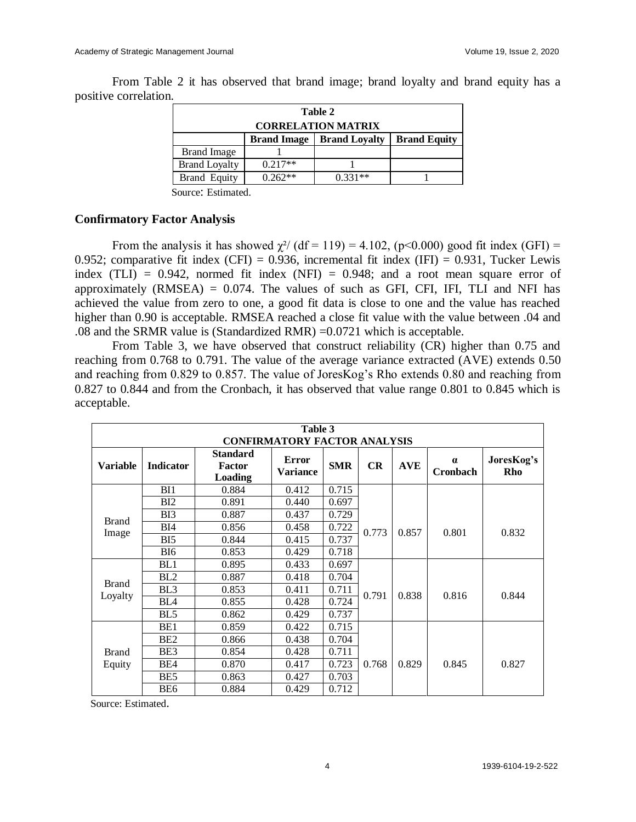positive correlation. **Table 2**

From Table 2 it has observed that brand image; brand loyalty and brand equity has a

| Table 2                   |                    |                      |                     |  |  |
|---------------------------|--------------------|----------------------|---------------------|--|--|
| <b>CORRELATION MATRIX</b> |                    |                      |                     |  |  |
|                           | <b>Brand Image</b> | <b>Brand Loyalty</b> | <b>Brand Equity</b> |  |  |
| <b>Brand Image</b>        |                    |                      |                     |  |  |
| <b>Brand Loyalty</b>      | $0.217**$          |                      |                     |  |  |
| <b>Brand Equity</b>       | $0.262**$          | $0.331**$            |                     |  |  |
|                           |                    |                      |                     |  |  |

Source: Estimated.

#### **Confirmatory Factor Analysis**

From the analysis it has showed  $\chi^2$  (df = 119) = 4.102, (p<0.000) good fit index (GFI) = 0.952; comparative fit index (CFI) = 0.936, incremental fit index (IFI) = 0.931, Tucker Lewis index (TLI) =  $0.942$ , normed fit index (NFI) =  $0.948$ ; and a root mean square error of approximately  $(RMSEA) = 0.074$ . The values of such as GFI, CFI, IFI, TLI and NFI has achieved the value from zero to one, a good fit data is close to one and the value has reached higher than 0.90 is acceptable. RMSEA reached a close fit value with the value between .04 and .08 and the SRMR value is (Standardized RMR) =0.0721 which is acceptable.

From Table 3, we have observed that construct reliability (CR) higher than 0.75 and reaching from 0.768 to 0.791. The value of the average variance extracted (AVE) extends 0.50 and reaching from 0.829 to 0.857. The value of JoresKog's Rho extends 0.80 and reaching from 0.827 to 0.844 and from the Cronbach, it has observed that value range 0.801 to 0.845 which is acceptable.

| Table 3<br><b>CONFIRMATORY FACTOR ANALYSIS</b> |                  |                                             |                                 |            |           |            |                             |                   |
|------------------------------------------------|------------------|---------------------------------------------|---------------------------------|------------|-----------|------------|-----------------------------|-------------------|
| <b>Variable</b>                                | <b>Indicator</b> | <b>Standard</b><br><b>Factor</b><br>Loading | <b>Error</b><br><b>Variance</b> | <b>SMR</b> | <b>CR</b> | <b>AVE</b> | $\alpha$<br><b>Cronbach</b> | JoresKog's<br>Rho |
|                                                | BI1              | 0.884                                       | 0.412                           | 0.715      |           |            |                             |                   |
| <b>Brand</b><br>Image                          | BI2              | 0.891                                       | 0.440                           | 0.697      |           |            |                             |                   |
|                                                | B <sub>13</sub>  | 0.887                                       | 0.437                           | 0.729      | 0.773     | 0.857      | 0.801                       | 0.832             |
|                                                | BI4              | 0.856                                       | 0.458                           | 0.722      |           |            |                             |                   |
|                                                | B <sub>15</sub>  | 0.844                                       | 0.415                           | 0.737      |           |            |                             |                   |
|                                                | BI <sub>6</sub>  | 0.853                                       | 0.429                           | 0.718      |           |            |                             |                   |
|                                                | BL1              | 0.895                                       | 0.433                           | 0.697      |           |            |                             |                   |
|                                                | BL2              | 0.887                                       | 0.418                           | 0.704      | 0.791     | 0.838      | 0.816                       | 0.844             |
| <b>Brand</b><br>Loyalty                        | BL <sub>3</sub>  | 0.853                                       | 0.411                           | 0.711      |           |            |                             |                   |
|                                                | BL <sub>4</sub>  | 0.855                                       | 0.428                           | 0.724      |           |            |                             |                   |
|                                                | BL <sub>5</sub>  | 0.862                                       | 0.429                           | 0.737      |           |            |                             |                   |
| <b>Brand</b><br>Equity                         | BE1              | 0.859                                       | 0.422                           | 0.715      | 0.768     | 0.829      | 0.845                       | 0.827             |
|                                                | BE <sub>2</sub>  | 0.866                                       | 0.438                           | 0.704      |           |            |                             |                   |
|                                                | BE3              | 0.854                                       | 0.428                           | 0.711      |           |            |                             |                   |
|                                                | BE4              | 0.870                                       | 0.417                           | 0.723      |           |            |                             |                   |
|                                                | BE5              | 0.863                                       | 0.427                           | 0.703      |           |            |                             |                   |
|                                                | BE <sub>6</sub>  | 0.884                                       | 0.429                           | 0.712      |           |            |                             |                   |

Source: Estimated.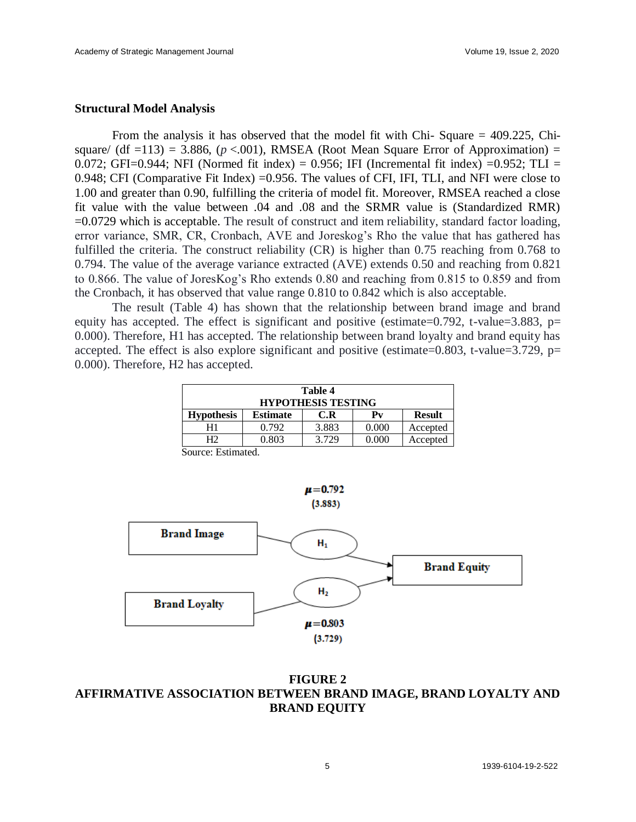#### **Structural Model Analysis**

From the analysis it has observed that the model fit with Chi- Square = 409.225, Chisquare/  $(df = 113) = 3.886$ ,  $(p < .001)$ , RMSEA (Root Mean Square Error of Approximation) = 0.072; GFI=0.944; NFI (Normed fit index) = 0.956; IFI (Incremental fit index) = 0.952; TLI = 0.948; CFI (Comparative Fit Index) =0.956. The values of CFI, IFI, TLI, and NFI were close to 1.00 and greater than 0.90, fulfilling the criteria of model fit. Moreover, RMSEA reached a close fit value with the value between .04 and .08 and the SRMR value is (Standardized RMR) =0.0729 which is acceptable. The result of construct and item reliability, standard factor loading, error variance, SMR, CR, Cronbach, AVE and Joreskog's Rho the value that has gathered has fulfilled the criteria. The construct reliability (CR) is higher than 0.75 reaching from 0.768 to 0.794. The value of the average variance extracted (AVE) extends 0.50 and reaching from 0.821 to 0.866. The value of JoresKog's Rho extends 0.80 and reaching from 0.815 to 0.859 and from the Cronbach, it has observed that value range 0.810 to 0.842 which is also acceptable.

The result (Table 4) has shown that the relationship between brand image and brand equity has accepted. The effect is significant and positive (estimate=0.792, t-value=3.883, p= 0.000). Therefore, H1 has accepted. The relationship between brand loyalty and brand equity has accepted. The effect is also explore significant and positive (estimate= $0.803$ , t-value= $3.729$ , p= 0.000). Therefore, H2 has accepted.

| <b>Table 4</b><br><b>HYPOTHESIS TESTING</b> |                 |       |       |               |  |
|---------------------------------------------|-----------------|-------|-------|---------------|--|
| <b>Hypothesis</b>                           | <b>Estimate</b> | C.R   | Pv    | <b>Result</b> |  |
| H1                                          | 0.792           | 3.883 | 0.000 | Accepted      |  |
| H2                                          | 0.803           | 3.729 | 0.000 | Accepted      |  |

Source: Estimated.



### **FIGURE 2 AFFIRMATIVE ASSOCIATION BETWEEN BRAND IMAGE, BRAND LOYALTY AND BRAND EQUITY**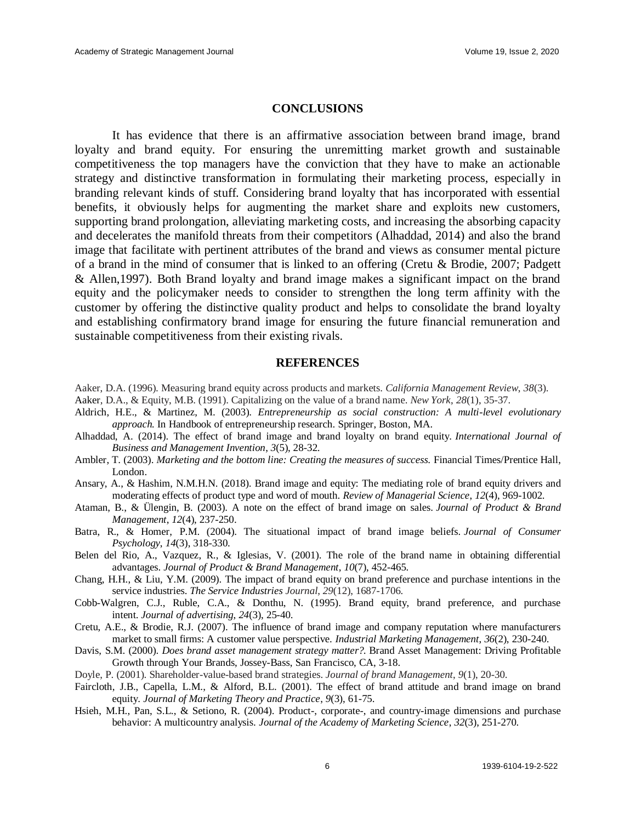#### **CONCLUSIONS**

It has evidence that there is an affirmative association between brand image, brand loyalty and brand equity. For ensuring the unremitting market growth and sustainable competitiveness the top managers have the conviction that they have to make an actionable strategy and distinctive transformation in formulating their marketing process, especially in branding relevant kinds of stuff. Considering brand loyalty that has incorporated with essential benefits, it obviously helps for augmenting the market share and exploits new customers, supporting brand prolongation, alleviating marketing costs, and increasing the absorbing capacity and decelerates the manifold threats from their competitors (Alhaddad, 2014) and also the brand image that facilitate with pertinent attributes of the brand and views as consumer mental picture of a brand in the mind of consumer that is linked to an offering (Cretu & Brodie, 2007; Padgett & Allen,1997). Both Brand loyalty and brand image makes a significant impact on the brand equity and the policymaker needs to consider to strengthen the long term affinity with the customer by offering the distinctive quality product and helps to consolidate the brand loyalty and establishing confirmatory brand image for ensuring the future financial remuneration and sustainable competitiveness from their existing rivals.

#### **REFERENCES**

- Aaker, D.A. (1996). Measuring brand equity across products and markets. *California Management Review*, *38*(3).
- Aaker, D.A., & Equity, M.B. (1991). Capitalizing on the value of a brand name. *New York*, *28*(1), 35-37.
- Aldrich, H.E., & Martinez, M. (2003). *Entrepreneurship as social construction: A multi-level evolutionary approach.* In Handbook of entrepreneurship research. Springer, Boston, MA.
- Alhaddad, A. (2014). The effect of brand image and brand loyalty on brand equity. *International Journal of Business and Management Invention*, *3*(5), 28-32.
- Ambler, T. (2003). *Marketing and the bottom line: Creating the measures of success.* Financial Times/Prentice Hall, London.
- Ansary, A., & Hashim, N.M.H.N. (2018). Brand image and equity: The mediating role of brand equity drivers and moderating effects of product type and word of mouth. *Review of Managerial Science*, *12*(4), 969-1002.
- Ataman, B., & Ülengin, B. (2003). A note on the effect of brand image on sales. *Journal of Product & Brand Management*, *12*(4), 237-250.
- Batra, R., & Homer, P.M. (2004). The situational impact of brand image beliefs. *Journal of Consumer Psychology*, *14*(3), 318-330.
- Belen del Rio, A., Vazquez, R., & Iglesias, V. (2001). The role of the brand name in obtaining differential advantages. *Journal of Product & Brand Management*, *10*(7), 452-465.
- Chang, H.H., & Liu, Y.M. (2009). The impact of brand equity on brand preference and purchase intentions in the service industries. *The Service Industries Journal*, *29*(12), 1687-1706.
- Cobb-Walgren, C.J., Ruble, C.A., & Donthu, N. (1995). Brand equity, brand preference, and purchase intent. *Journal of advertising*, *24*(3), 25-40.
- Cretu, A.E., & Brodie, R.J. (2007). The influence of brand image and company reputation where manufacturers market to small firms: A customer value perspective. *Industrial Marketing Management*, *36*(2), 230-240.
- Davis, S.M. (2000). *Does brand asset management strategy matter?.* Brand Asset Management: Driving Profitable Growth through Your Brands, Jossey-Bass, San Francisco, CA, 3-18.
- Doyle, P. (2001). Shareholder-value-based brand strategies. *Journal of brand Management*, *9*(1), 20-30.
- Faircloth, J.B., Capella, L.M., & Alford, B.L. (2001). The effect of brand attitude and brand image on brand equity. *Journal of Marketing Theory and Practice*, *9*(3), 61-75.
- Hsieh, M.H., Pan, S.L., & Setiono, R. (2004). Product-, corporate-, and country-image dimensions and purchase behavior: A multicountry analysis. *Journal of the Academy of Marketing Science*, *32*(3), 251-270.